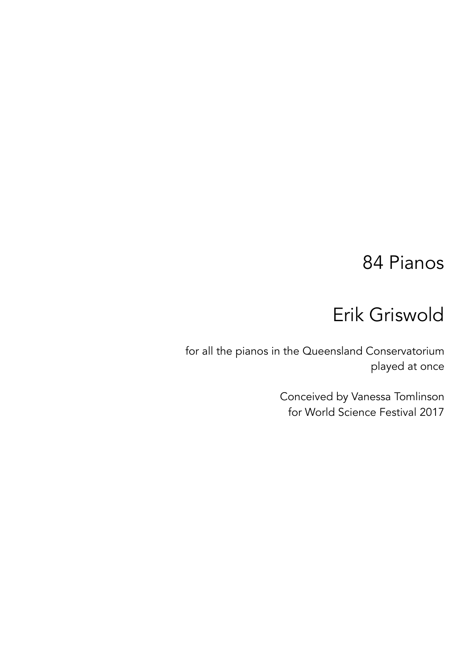### 84 Pianos

## Erik Griswold

for all the pianos in the Queensland Conservatorium played at once

> Conceived by Vanessa Tomlinson for World Science Festival 2017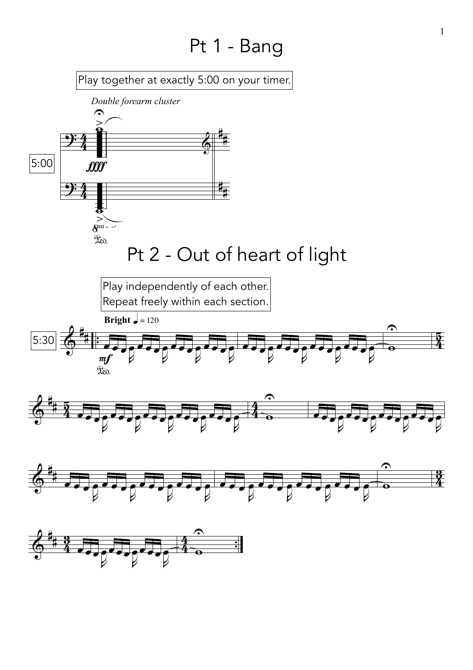#### Pt 1 - Bang

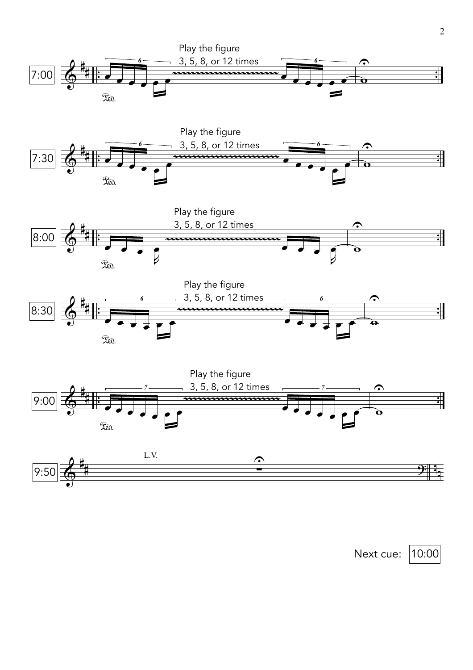









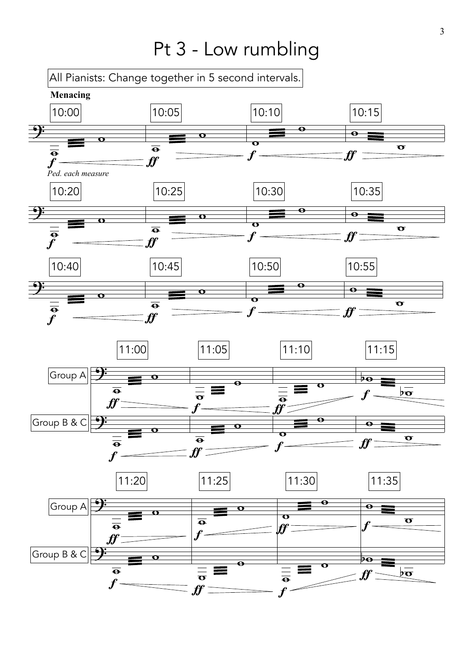#### Pt 3 - Low rumbling

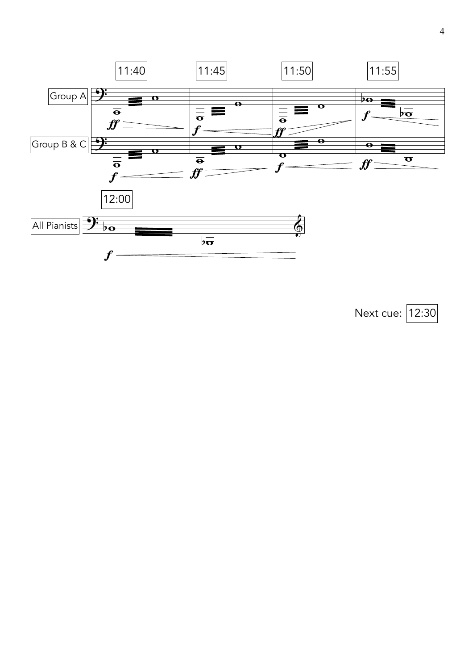

Next cue: 12:30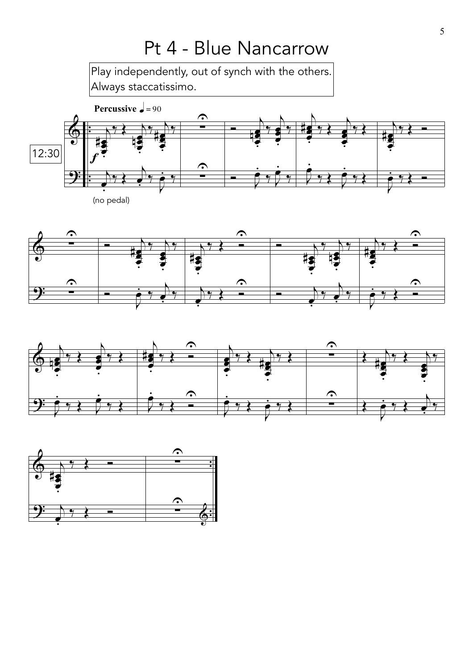# Pt 4 - Blue Nancarrow

Play independently, out of synch with the others. Always staccatissimo.







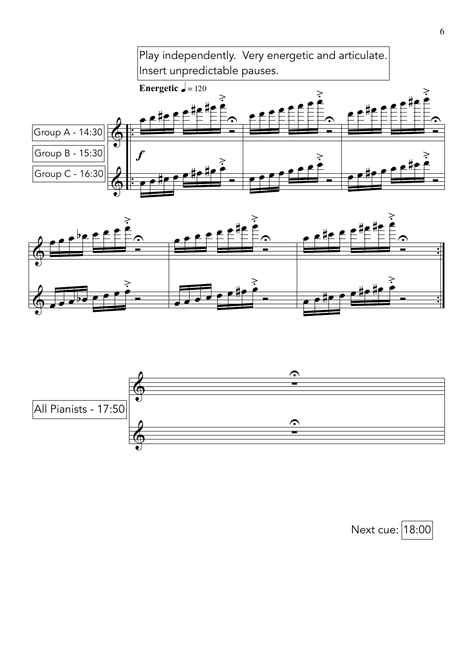





Next cue: 18:00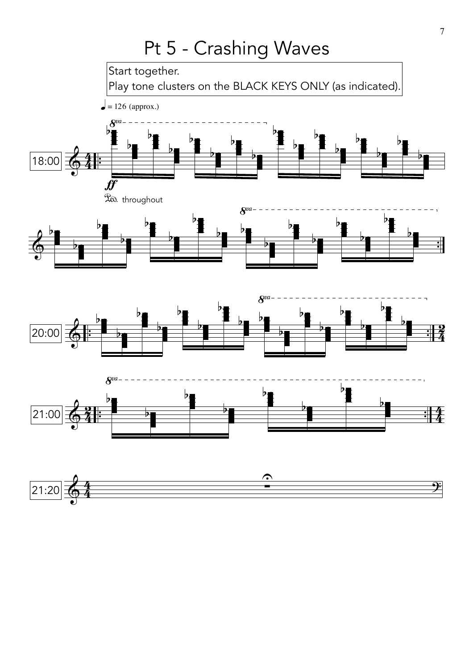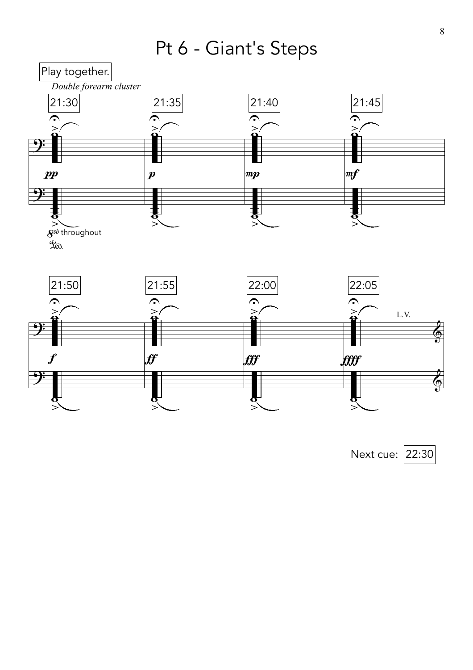Pt 6 - Giant's Steps



Next cue: 22:30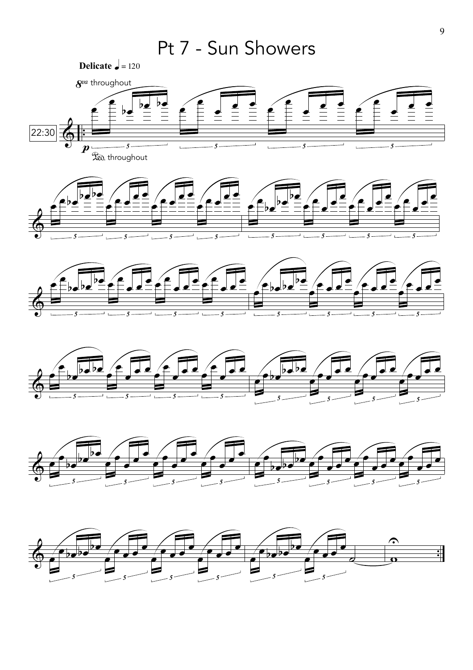



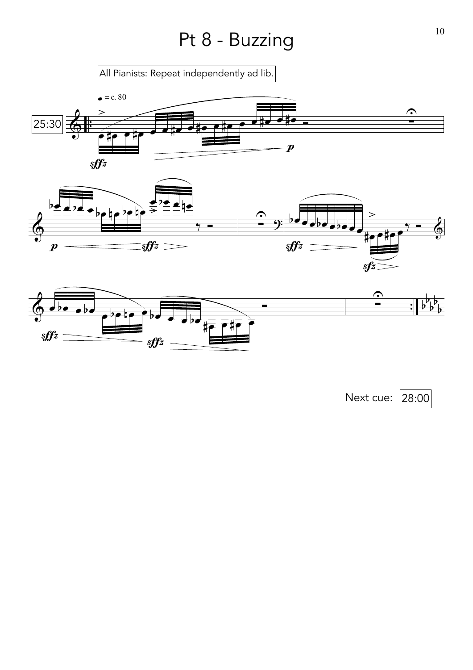# Pt 8 - Buzzing 10



 $sffz$   $\overline{\qquad}$   $\overline{\qquad}$   $sffz$ 

Next cue: 28:00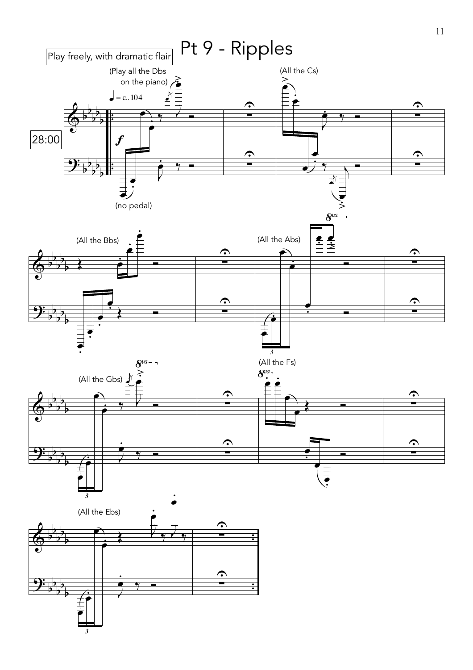